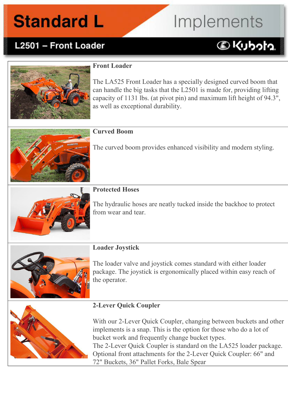## **Standard L**

# Implements

### L2501 - Front Loader

### **DKIJbota**



#### **Front Loader**

The LA525 Front Loader has a specially designed curved boom that can handle the big tasks that the L2501 is made for, providing lifting capacity of 1131 lbs. (at pivot pin) and maximum lift height of 94.3", as well as exceptional durability.



#### **Curved Boom**

The curved boom provides enhanced visibility and modern styling.



#### **Protected Hoses**

The hydraulic hoses are neatly tucked inside the backhoe to protect from wear and tear.



#### **Loader Joystick**

The loader valve and joystick comes standard with either loader package. The joystick is ergonomically placed within easy reach of the operator.



#### **2-Lever Quick Coupler**

With our 2-Lever Quick Coupler, changing between buckets and other implements is a snap. This is the option for those who do a lot of bucket work and frequently change bucket types. The 2-Lever Quick Coupler is standard on the LA525 loader package. Optional front attachments for the 2-Lever Quick Coupler: 66" and 72" Buckets, 36" Pallet Forks, Bale Spear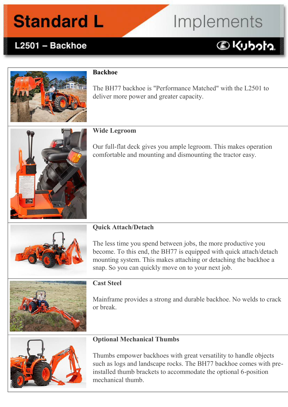## **Standard L**

# Implements

### L2501 - Backhoe

### **DKUbota**



#### **Backhoe**

The BH77 backhoe is "Performance Matched" with the L2501 to deliver more power and greater capacity.



#### **Wide Legroom**

Our full-flat deck gives you ample legroom. This makes operation comfortable and mounting and dismounting the tractor easy.



#### **Quick Attach/Detach**

The less time you spend between jobs, the more productive you become. To this end, the BH77 is equipped with quick attach/detach mounting system. This makes attaching or detaching the backhoe a snap. So you can quickly move on to your next job.



#### **Cast Steel**

Mainframe provides a strong and durable backhoe. No welds to crack or break.



#### **Optional Mechanical Thumbs**

Thumbs empower backhoes with great versatility to handle objects such as logs and landscape rocks. The BH77 backhoe comes with preinstalled thumb brackets to accommodate the optional 6-position mechanical thumb.